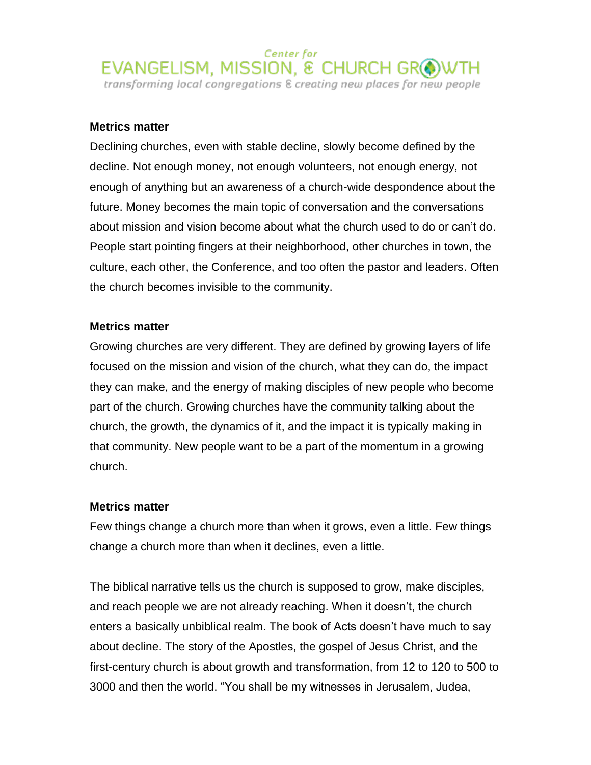## **Metrics matter**

Declining churches, even with stable decline, slowly become defined by the decline. Not enough money, not enough volunteers, not enough energy, not enough of anything but an awareness of a church-wide despondence about the future. Money becomes the main topic of conversation and the conversations about mission and vision become about what the church used to do or can't do. People start pointing fingers at their neighborhood, other churches in town, the culture, each other, the Conference, and too often the pastor and leaders. Often the church becomes invisible to the community.

## **Metrics matter**

Growing churches are very different. They are defined by growing layers of life focused on the mission and vision of the church, what they can do, the impact they can make, and the energy of making disciples of new people who become part of the church. Growing churches have the community talking about the church, the growth, the dynamics of it, and the impact it is typically making in that community. New people want to be a part of the momentum in a growing church.

## **Metrics matter**

Few things change a church more than when it grows, even a little. Few things change a church more than when it declines, even a little.

The biblical narrative tells us the church is supposed to grow, make disciples, and reach people we are not already reaching. When it doesn't, the church enters a basically unbiblical realm. The book of Acts doesn't have much to say about decline. The story of the Apostles, the gospel of Jesus Christ, and the first-century church is about growth and transformation, from 12 to 120 to 500 to 3000 and then the world. "You shall be my witnesses in Jerusalem, Judea,